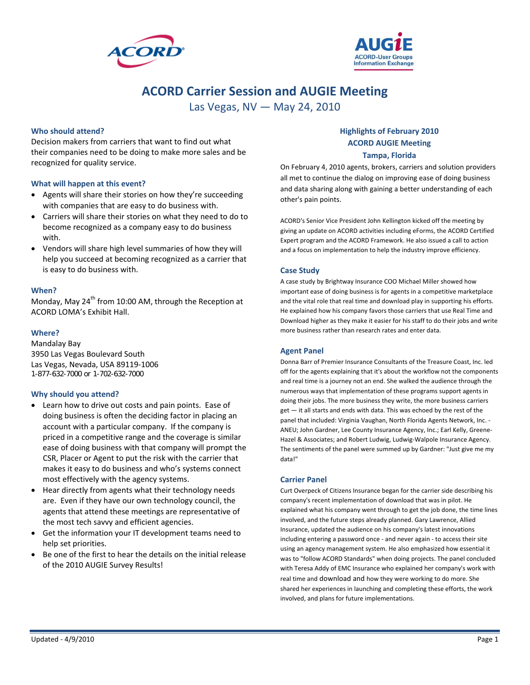



# **ACORD Carrier Session and AUGIE Meeting**

Las Vegas, NV — May 24, 2010

#### **Who should attend?**

Decision makers from carriers that want to find out what their companies need to be doing to make more sales and be recognized for quality service.

#### **What will happen at this event?**

- Agents will share their stories on how they're succeeding with companies that are easy to do business with.
- Carriers will share their stories on what they need to do to become recognized as a company easy to do business with.
- Vendors will share high level summaries of how they will help you succeed at becoming recognized as a carrier that is easy to do business with.

#### **When?**

Monday, May  $24^{th}$  from 10:00 AM, through the Reception at ACORD LOMA's Exhibit Hall.

#### **Where?**

Mandalay Bay 3950 Las Vegas Boulevard South Las Vegas, Nevada, USA 89119‐1006 1-877-632-7000 or 1-702-632-7000

#### **Why should you attend?**

- Learn how to drive out costs and pain points. Ease of doing business is often the deciding factor in placing an account with a particular company. If the company is priced in a competitive range and the coverage is similar ease of doing business with that company will prompt the CSR, Placer or Agent to put the risk with the carrier that makes it easy to do business and who's systems connect most effectively with the agency systems.
- Hear directly from agents what their technology needs are. Even if they have our own technology council, the agents that attend these meetings are representative of the most tech savvy and efficient agencies.
- Get the information your IT development teams need to help set priorities.
- Be one of the first to hear the details on the initial release of the 2010 AUGIE Survey Results!

## **Highlights of February 2010 ACORD AUGIE Meeting**

#### **Tampa, Florida**

On February 4, 2010 agents, brokers, carriers and solution providers all met to continue the dialog on improving ease of doing business and data sharing along with gaining a better understanding of each other's pain points.

ACORD's Senior Vice President John Kellington kicked off the meeting by giving an update on ACORD activities including eForms, the ACORD Certified Expert program and the ACORD Framework. He also issued a call to action and a focus on implementation to help the industry improve efficiency.

#### **Case Study**

A case study by Brightway Insurance COO Michael Miller showed how important ease of doing business is for agents in a competitive marketplace and the vital role that real time and download play in supporting his efforts. He explained how his company favors those carriers that use Real Time and Download higher as they make it easier for his staff to do their jobs and write more business rather than research rates and enter data.

#### **Agent Panel**

Donna Barr of Premier Insurance Consultants of the Treasure Coast, Inc. led off for the agents explaining that it's about the workflow not the components and real time is a journey not an end. She walked the audience through the numerous ways that implementation of these programs support agents in doing their jobs. The more business they write, the more business carriers get — it all starts and ends with data. This was echoed by the rest of the panel that included: Virginia Vaughan, North Florida Agents Network, Inc. ‐ ANEU; John Gardner, Lee County Insurance Agency, Inc.; Earl Kelly, Greene‐ Hazel & Associates; and Robert Ludwig, Ludwig‐Walpole Insurance Agency. The sentiments of the panel were summed up by Gardner: "Just give me my data!"

#### **Carrier Panel**

Curt Overpeck of Citizens Insurance began for the carrier side describing his company's recent implementation of download that was in pilot. He explained what his company went through to get the job done, the time lines involved, and the future steps already planned. Gary Lawrence, Allied Insurance, updated the audience on his company's latest innovations including entering a password once ‐ and never again ‐ to access their site using an agency management system. He also emphasized how essential it was to "follow ACORD Standards" when doing projects. The panel concluded with Teresa Addy of EMC Insurance who explained her company's work with real time and download and how they were working to do more. She shared her experiences in launching and completing these efforts, the work involved, and plans for future implementations.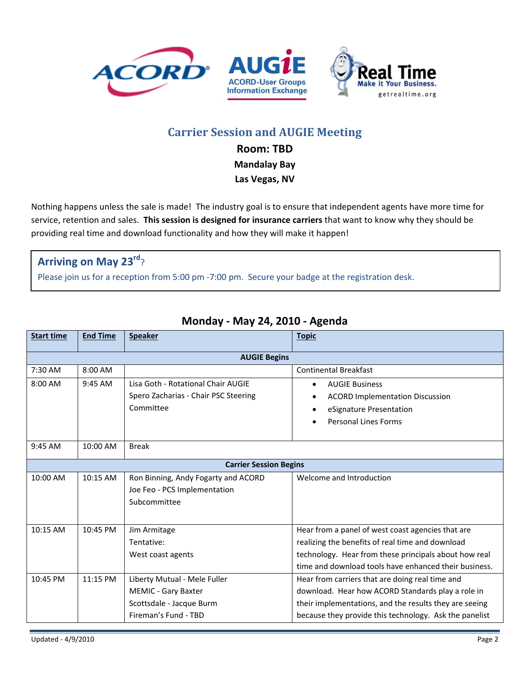





# **Carrier Session and AUGIE Meeting**

**Room: TBD**

**Mandalay Bay**

**Las Vegas, NV**

Nothing happens unless the sale is made! The industry goal is to ensure that independent agents have more time for service, retention and sales. **This session is designed for insurance carriers** that want to know why they should be providing real time and download functionality and how they will make it happen!

# **Arriving on May 23rd**?

Please join us for a reception from 5:00 pm ‐7:00 pm. Secure your badge at the registration desk.

| <b>Start time</b>             | <b>End Time</b> | <b>Speaker</b>                                                                                                 | <b>Topic</b>                                                                                                                                                                                                             |  |
|-------------------------------|-----------------|----------------------------------------------------------------------------------------------------------------|--------------------------------------------------------------------------------------------------------------------------------------------------------------------------------------------------------------------------|--|
| <b>AUGIE Begins</b>           |                 |                                                                                                                |                                                                                                                                                                                                                          |  |
| 7:30 AM                       | 8:00 AM         |                                                                                                                | <b>Continental Breakfast</b>                                                                                                                                                                                             |  |
| 8:00 AM                       | $9:45$ AM       | Lisa Goth - Rotational Chair AUGIE<br>Spero Zacharias - Chair PSC Steering<br>Committee                        | <b>AUGIE Business</b><br><b>ACORD Implementation Discussion</b><br>eSignature Presentation<br><b>Personal Lines Forms</b>                                                                                                |  |
| $9:45$ AM                     | 10:00 AM        | <b>Break</b>                                                                                                   |                                                                                                                                                                                                                          |  |
| <b>Carrier Session Begins</b> |                 |                                                                                                                |                                                                                                                                                                                                                          |  |
| 10:00 AM                      | 10:15 AM        | Ron Binning, Andy Fogarty and ACORD<br>Joe Feo - PCS Implementation<br>Subcommittee                            | Welcome and Introduction                                                                                                                                                                                                 |  |
| 10:15 AM                      | 10:45 PM        | Jim Armitage<br>Tentative:<br>West coast agents                                                                | Hear from a panel of west coast agencies that are<br>realizing the benefits of real time and download<br>technology. Hear from these principals about how real<br>time and download tools have enhanced their business.  |  |
| 10:45 PM                      | 11:15 PM        | Liberty Mutual - Mele Fuller<br><b>MEMIC - Gary Baxter</b><br>Scottsdale - Jacque Burm<br>Fireman's Fund - TBD | Hear from carriers that are doing real time and<br>download. Hear how ACORD Standards play a role in<br>their implementations, and the results they are seeing<br>because they provide this technology. Ask the panelist |  |

## **Monday ‐ May 24, 2010 ‐ Agenda**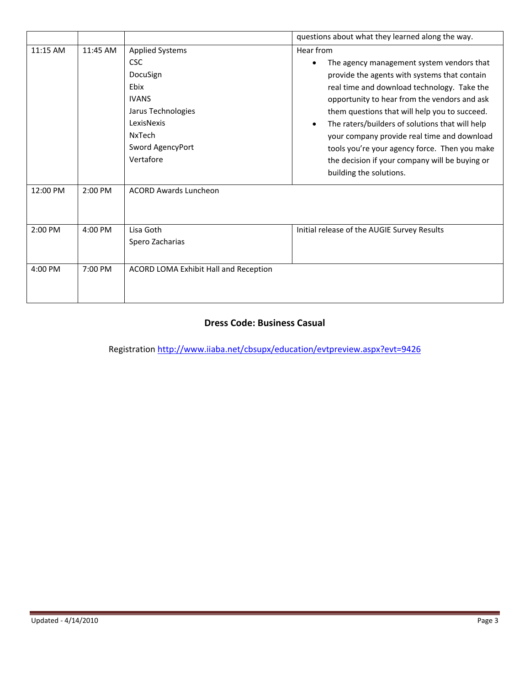|           |           |                                                                                                                                                                | questions about what they learned along the way.                                                                                                                                                                                                                                                                                                                                                                                                                                       |
|-----------|-----------|----------------------------------------------------------------------------------------------------------------------------------------------------------------|----------------------------------------------------------------------------------------------------------------------------------------------------------------------------------------------------------------------------------------------------------------------------------------------------------------------------------------------------------------------------------------------------------------------------------------------------------------------------------------|
| 11:15 AM  | 11:45 AM  | <b>Applied Systems</b><br><b>CSC</b><br>DocuSign<br>Ebix<br><b>IVANS</b><br>Jarus Technologies<br>LexisNexis<br><b>NxTech</b><br>Sword AgencyPort<br>Vertafore | Hear from<br>The agency management system vendors that<br>provide the agents with systems that contain<br>real time and download technology. Take the<br>opportunity to hear from the vendors and ask<br>them questions that will help you to succeed.<br>The raters/builders of solutions that will help<br>your company provide real time and download<br>tools you're your agency force. Then you make<br>the decision if your company will be buying or<br>building the solutions. |
| 12:00 PM  | 2:00 PM   | <b>ACORD Awards Luncheon</b>                                                                                                                                   |                                                                                                                                                                                                                                                                                                                                                                                                                                                                                        |
| $2:00$ PM | $4:00$ PM | Lisa Goth<br>Spero Zacharias                                                                                                                                   | Initial release of the AUGIE Survey Results                                                                                                                                                                                                                                                                                                                                                                                                                                            |
| $4:00$ PM | 7:00 PM   | ACORD LOMA Exhibit Hall and Reception                                                                                                                          |                                                                                                                                                                                                                                                                                                                                                                                                                                                                                        |

### **Dress Code: Business Casual**

Registration http://www.iiaba.net/cbsupx/education/evtpreview.aspx?evt=9426